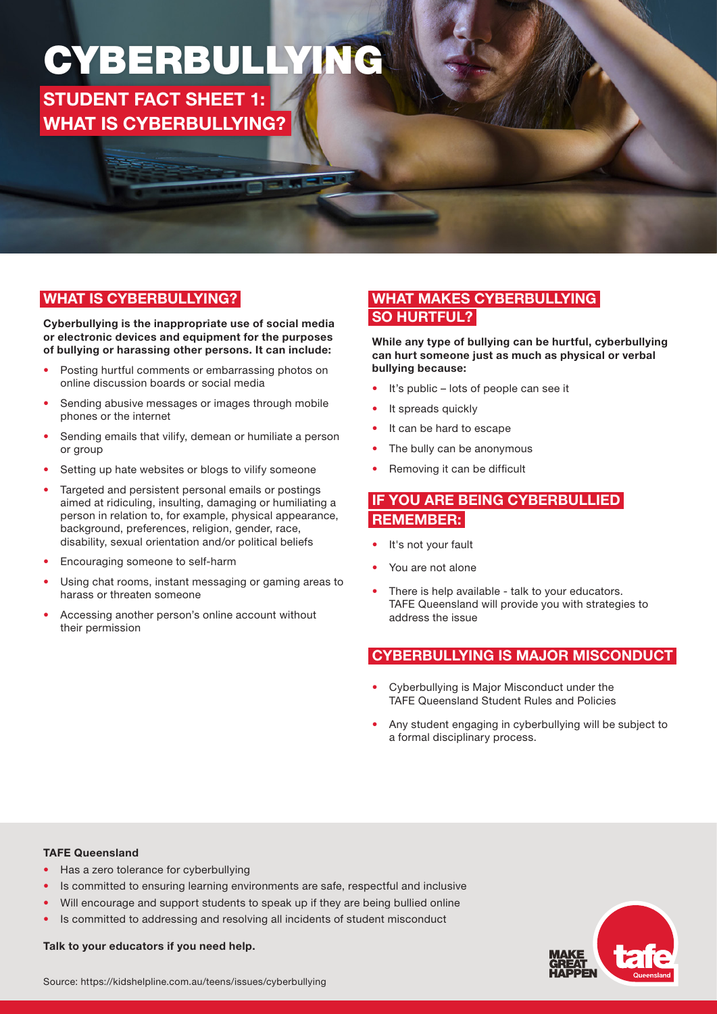## CYBERBULLYING

STUDENT FACT SHEET 1: WHAT IS CYBERBULLYING?

## WHAT IS CYBERBULLYING?

Cyberbullying is the inappropriate use of social media or electronic devices and equipment for the purposes of bullying or harassing other persons. It can include:

- Posting hurtful comments or embarrassing photos on online discussion boards or social media
- Sending abusive messages or images through mobile phones or the internet
- Sending emails that vilify, demean or humiliate a person or group
- Setting up hate websites or blogs to vilify someone
- Targeted and persistent personal emails or postings aimed at ridiculing, insulting, damaging or humiliating a person in relation to, for example, physical appearance, background, preferences, religion, gender, race, disability, sexual orientation and/or political beliefs
- Encouraging someone to self-harm
- Using chat rooms, instant messaging or gaming areas to harass or threaten someone
- Accessing another person's online account without their permission

### WHAT MAKES CYBERBULLYING SO HURTFUL?

While any type of bullying can be hurtful, cyberbullying can hurt someone just as much as physical or verbal bullying because:

- It's public lots of people can see it
- It spreads quickly
- It can be hard to escape
- The bully can be anonymous
- Removing it can be difficult

#### IF YOU ARE BEING CYBERBULLIED REMEMBER:

- It's not your fault
- You are not alone
- There is help available talk to your educators. TAFE Queensland will provide you with strategies to address the issue

#### CYBERBULLYING IS MAJOR MISCONDUCT

- Cyberbullying is Major Misconduct under the TAFE Queensland Student Rules and Policies
- Any student engaging in cyberbullying will be subject to a formal disciplinary process.

#### TAFE Queensland

- Has a zero tolerance for cyberbullying
- Is committed to ensuring learning environments are safe, respectful and inclusive
- Will encourage and support students to speak up if they are being bullied online
- Is committed to addressing and resolving all incidents of student misconduct

Talk to your educators if you need help.

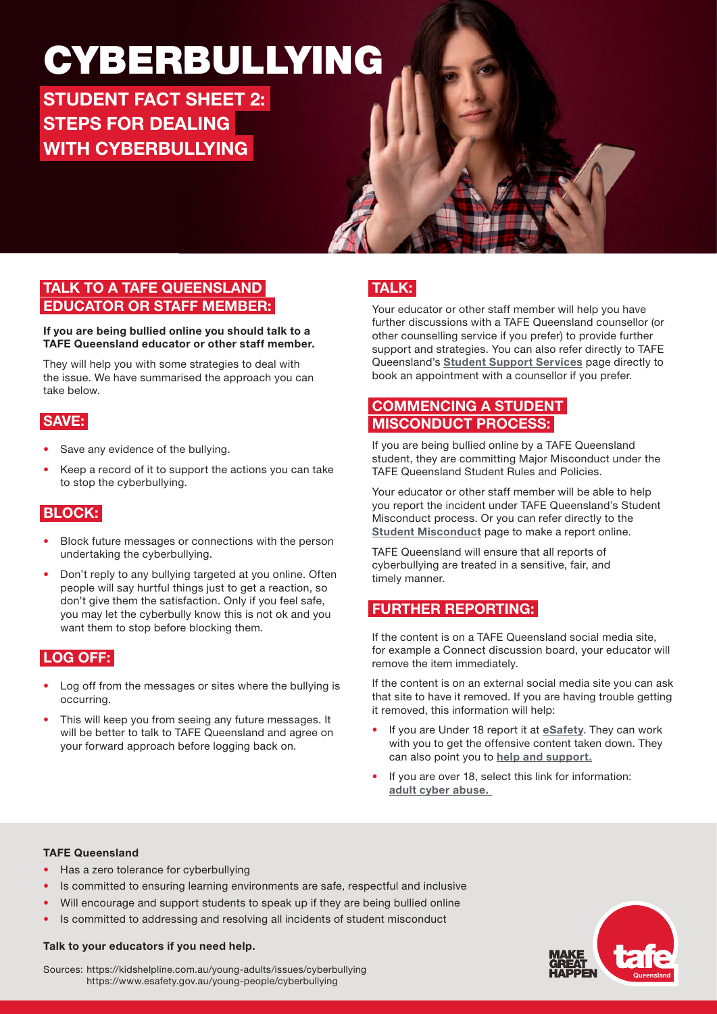## CYBERBULLYING

STUDENT FACT SHEET 2: STEPS FOR DEALING WITH CYBERBULLYING



### TALK TO A TAFE QUEENSLAND EDUCATOR OR STAFF MEMBER:

#### If you are being bullied online you should talk to a TAFE Queensland educator or other staff member.

They will help you with some strategies to deal with the issue. We have summarised the approach you can take below.

## SAVE:

- Save any evidence of the bullying.
- Keep a record of it to support the actions you can take to stop the cyberbullying.

## BLOCK:

- Block future messages or connections with the person undertaking the cyberbullying.
- Don't reply to any bullying targeted at you online. Often people will say hurtful things just to get a reaction, so don't give them the satisfaction. Only if you feel safe, you may let the cyberbully know this is not ok and you want them to stop before blocking them.

## LOG OFF:

- Log off from the messages or sites where the bullying is occurring.
- This will keep you from seeing any future messages. It will be better to talk to TAFE Queensland and agree on your forward approach before logging back on.

## TALK:

Your educator or other staff member will help you have further discussions with a TAFE Queensland counsellor (or other counselling service if you prefer) to provide further support and strategies. You can also refer directly to TAFE Queensland's [Student Support Services](https://tafeqld.edu.au/current-students/student-support-services/index.html) page directly to book an appointment with a counsellor if you prefer.

### COMMENCING A STUDENT MISCONDUCT PROCESS:

If you are being bullied online by a TAFE Queensland student, they are committing Major Misconduct under the TAFE Queensland Student Rules and Policies.

Your educator or other staff member will be able to help you report the incident under TAFE Queensland's Student Misconduct process. Or you can refer directly to the **[Student Misconduct](https://tafeqld.edu.au/about-us/policy-and-governance/policies-and-procedures/student-rules-and-policies/student-misconduct.html?) page to make a report online.** 

TAFE Queensland will ensure that all reports of cyberbullying are treated in a sensitive, fair, and timely manner.

### FURTHER REPORTING:

If the content is on a TAFE Queensland social media site, for example a Connect discussion board, your educator will remove the item immediately.

If the content is on an external social media site you can ask that site to have it removed. If you are having trouble getting it removed, this information will help:

- If you are Under 18 report it at **[eSafety](https://www.esafety.gov.au/report/cyberbullying)**. They can work with you to get the offensive content taken down. They can also point you to [help and support.](https://www.esafety.gov.au/about-us/counselling-support-services)
- If you are over 18, select this link for information: [adult cyber abuse](https://www.esafety.gov.au/key-issues/adult-cyber-abuse).

#### TAFE Queensland

- Has a zero tolerance for cyberbullying
- Is committed to ensuring learning environments are safe, respectful and inclusive
- Will encourage and support students to speak up if they are being bullied online
- Is committed to addressing and resolving all incidents of student misconduct

#### Talk to your educators if you need help.

Sources: https://kidshelpline.com.au/young-adults/issues/cyberbullying https://www.esafety.gov.au/young-people/cyberbullying